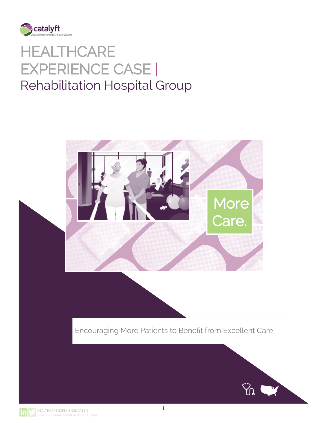

# **HEALTHCARE** EXPERIENCE CASE | Rehabilitation Hospital Group



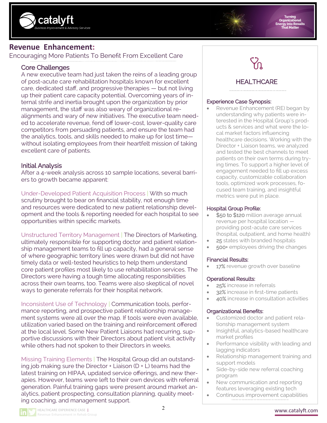



# **Revenue Enhancement:**

Encouraging More Patients To Benefit From Excellent Care

# Core Challenges

A new executive team had just taken the reins of a leading group of post-acute care rehabilitation hospitals known for excellent care, dedicated staff, and progressive therapies — but not living up their patient care capacity potential. Overcoming years of internal strife and inertia brought upon the organization by prior management, the staff was also weary of organizational realignments and wary of new initiatives. The executive team needed to accelerate revenue, fend off lower-cost, lower-quality care competitors from persuading patients, and ensure the team had the analytics, tools, and skills needed to make up for lost time without isolating employees from their heartfelt mission of taking excellent care of patients.

## Initial Analysis

After a 4-week analysis across 10 sample locations, several barriers to growth became apparent:

Under-Developed Patient Acquisition Process | With so much scrutiny brought to bear on financial stability, not enough time and resources were dedicated to new patient relationship development and the tools & reporting needed for each hospital to see opportunities within specific markets.

Unstructured Territory Management | The Directors of Marketing, ultimately responsible for supporting doctor and patient relationship management teams to fill up capacity, had a general sense of where geographic territory lines were drawn but did not have timely data or well-tested heuristics to help them understand core patient profiles most likely to use rehabilitation services. The Directors were having a tough time allocating responsibilities across their own teams, too. Teams were also skeptical of novel ways to generate referrals for their hospital network.

Inconsistent Use of Technology | Communication tools, performance reporting, and prospective patient relationship management systems were all over the map. If tools were even available, utilization varied based on the training and reinforcement offered at the local level. Some New Patient Liaisons had recurring, supportive discussions with their Directors about patient visit activity while others had not spoken to their Directors in weeks.

Missing Training Elements | The Hospital Group did an outstanding job making sure the Director + Liaison (D + L) teams had the latest training on HIPAA, updated service offerings, and new therapies. However, teams were left to their own devices with referral generation. Painful training gaps were present around market analytics, patient prospecting, consultation planning, quality meeting coaching, and management support.



# **HEALTHCARE**

#### Experience Case Synopsis:

Revenue Enhancement (RE) began by understanding why patients were interested in the Hospital Group's products & services and what were the local market factors influencing healthcare decisions. Working with the Director + Liaison teams, we analyzed and tested the best channels to meet patients on their own terms during trying times. To support a higher level of engagement needed to fill up excess capacity, customizable collaboration tools, optimized work processes, focused team training, and insightful metrics were put in place.

#### Hospital Group Profile:

- \$50 to \$120 million average annual revenue per hospital location providing post-acute care services (hospital, outpatient, and home health)
- 25 states with branded hospitals
- 500+ employees driving the changes

#### Financial Results:

17% revenue growth over baseline

#### Operational Results:

- 25% increase in referrals
- 32% increase in first-time patients
- 40% increase in consultation activities

#### Organizational Benefits:

- Customized doctor and patient relationship management system
- Insightful, analytics-based healthcare market profiles
- Performance visibility with leading and lagging indicators
- Relationship management training and support models
- Side-by-side new referral coaching program
- New communication and reporting features leveraging existing tech
- Continuous improvement capabilities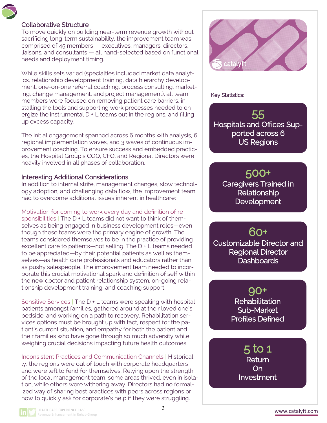### Collaborative Structure

To move quickly on building near-term revenue growth without sacrificing long-term sustainability, the improvement team was comprised of 45 members — executives, managers, directors, liaisons, and consultants — all hand-selected based on functional needs and deployment timing.

While skills sets varied (specialties included market data analytics, relationship development training, data hierarchy development, one-on-one referral coaching, process consulting, marketing, change management, and project management), all team members were focused on removing patient care barriers, installing the tools and supporting work processes needed to energize the instrumental  $D + L$  teams out in the regions, and filling up excess capacity.

The initial engagement spanned across 6 months with analysis, 6 regional implementation waves, and 3 waves of continuous improvement coaching. To ensure success and embedded practices, the Hospital Group's COO, CFO, and Regional Directors were heavily involved in all phases of collaboration.

#### Interesting Additional Considerations

In addition to internal strife, management changes, slow technology adoption, and challenging data flow, the improvement team had to overcome additional issues inherent in healthcare:

Motivation for coming to work every day and definition of responsibilities | The D + L teams did not want to think of themselves as being engaged in business development roles—even though these teams were the primary engine of growth. The teams considered themselves to be in the practice of providing excellent care to patients—not selling. The D + L teams needed to be appreciated—by their potential patients as well as themselves—as health care professionals and educators rather than as pushy salespeople. The improvement team needed to incorporate this crucial motivational spark and definition of self within the new doctor and patient relationship system, on-going relationship development training, and coaching support.

Sensitive Services | The D + L teams were speaking with hospital patients amongst families, gathered around at their loved one's bedside, and working on a path to recovery. Rehabilitation services options must be brought up with tact, respect for the patient's current situation, and empathy for both the patient and their families who have gone through so much adversity while weighing crucial decisions impacting future health outcomes.

Inconsistent Practices and Communication Channels | Historically, the regions were out of touch with corporate headquarters and were left to fend for themselves. Relying upon the strength of the local management team, some areas thrived, even in isolation, while others were withering away. Directors had no formalized way of sharing best practices with peers across regions or how to quickly ask for corporate's help if they were struggling.



#### Key Statistics:

55 Hospitals and Offices Supported across 6 US Regions

# 500+

Caregivers Trained in Relationship **Development** 

# 60+

Customizable Director and Regional Director Dashboards

> 90+ **Rehabilitation** Sub-Market Profiles Defined

> > 5 to 1 **Return** On Investment